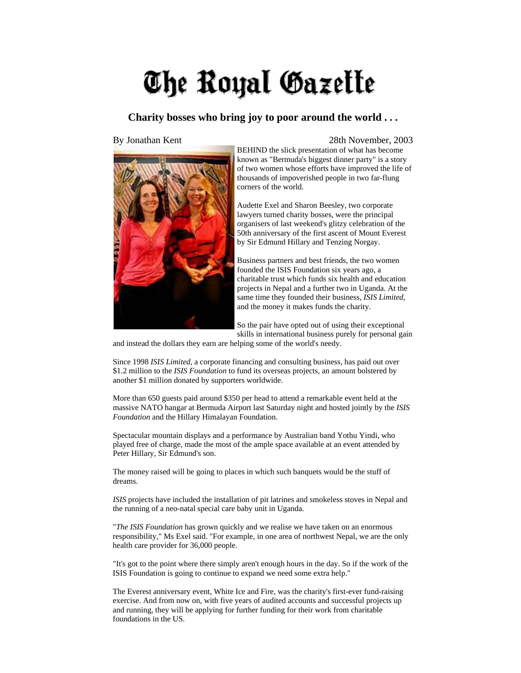## The Royal Gazette

## **Charity bosses who bring joy to poor around the world . . .**



## By Jonathan Kent 28th November, 2003

BEHIND the slick presentation of what has become known as "Bermuda's biggest dinner party" is a story of two women whose efforts have improved the life of thousands of impoverished people in two far-flung corners of the world.

Audette Exel and Sharon Beesley, two corporate lawyers turned charity bosses, were the principal organisers of last weekend's glitzy celebration of the 50th anniversary of the first ascent of Mount Everest by Sir Edmund Hillary and Tenzing Norgay.

Business partners and best friends, the two women founded the ISIS Foundation six years ago, a charitable trust which funds six health and education projects in Nepal and a further two in Uganda. At the same time they founded their business, *ISIS Limited*, and the money it makes funds the charity.

So the pair have opted out of using their exceptional skills in international business purely for personal gain

and instead the dollars they earn are helping some of the world's needy.

Since 1998 *ISIS Limited*, a corporate financing and consulting business, has paid out over \$1.2 million to the *ISIS Foundation* to fund its overseas projects, an amount bolstered by another \$1 million donated by supporters worldwide.

More than 650 guests paid around \$350 per head to attend a remarkable event held at the massive NATO hangar at Bermuda Airport last Saturday night and hosted jointly by the *ISIS Foundation* and the Hillary Himalayan Foundation.

Spectacular mountain displays and a performance by Australian band Yothu Yindi, who played free of charge, made the most of the ample space available at an event attended by Peter Hillary, Sir Edmund's son.

The money raised will be going to places in which such banquets would be the stuff of dreams.

*ISIS* projects have included the installation of pit latrines and smokeless stoves in Nepal and the running of a neo-natal special care baby unit in Uganda.

"*The ISIS Foundation* has grown quickly and we realise we have taken on an enormous responsibility," Ms Exel said. "For example, in one area of northwest Nepal, we are the only health care provider for 36,000 people.

"It's got to the point where there simply aren't enough hours in the day. So if the work of the ISIS Foundation is going to continue to expand we need some extra help."

The Everest anniversary event, White Ice and Fire, was the charity's first-ever fund-raising exercise. And from now on, with five years of audited accounts and successful projects up and running, they will be applying for further funding for their work from charitable foundations in the US.